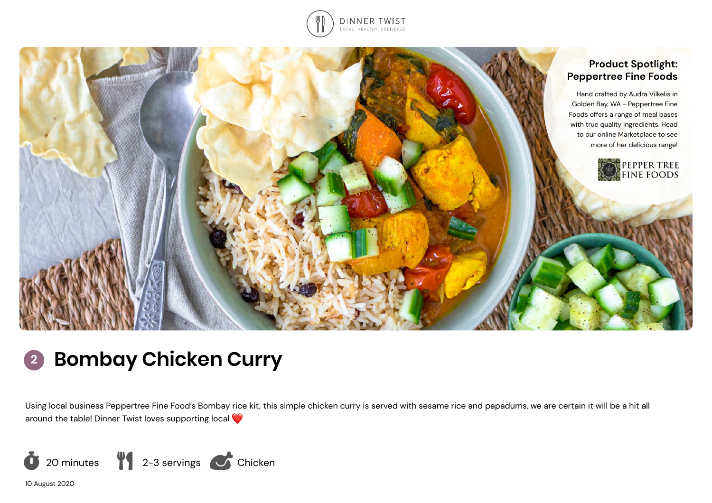



# **<sup>2</sup> Bombay Chicken Curry**

Using local business Peppertree Fine Food's Bombay rice kit, this simple chicken curry is served with sesame rice and papadums, we are certain it will be a hit all around the table! Dinner Twist loves supporting local



10 August 2020